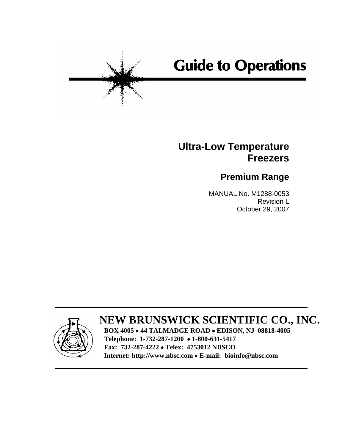# **Guide to Operations**

# **Ultra-Low Temperature Freezers**

# **Premium Range**

 MANUAL No. M1288-0053 Revision L October 29, 2007



# **NEW BRUNSWICK SCIENTIFIC CO., INC.**

**BOX 4005** • **44 TALMADGE ROAD** • **EDISON, NJ 08818-4005 Telephone: 1-732-287-1200** • **1-800-631-5417 Fax: 732-287-4222** • **Telex: 4753012 NBSCO Internet: http://www.nbsc.com** • **E-mail: bioinfo@nbsc.com**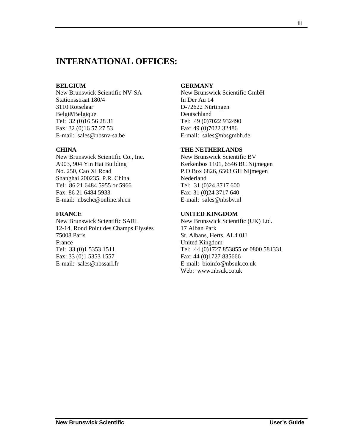## **INTERNATIONAL OFFICES:**

#### **BELGIUM**

New Brunswick Scientific NV-SA Stationsstraat 180/4 3110 Rotselaar België/Belgique Tel: 32 (0)16 56 28 31 Fax: 32 (0)16 57 27 53 E-mail: sales@nbsnv-sa.be

#### **CHINA**

New Brunswick Scientific Co., Inc. A903, 904 Yin Hai Building No. 250, Cao Xi Road Shanghai 200235, P.R. China Tel: 86 21 6484 5955 or 5966 Fax: 86 21 6484 5933 E-mail: nbschc@online.sh.cn

#### **FRANCE**

New Brunswick Scientific SARL 12-14, Rond Point des Champs Elysées 75008 Paris France Tel: 33 (0)1 5353 1511 Fax: 33 (0)1 5353 1557 E-mail: sales@nbssarl.fr

#### **GERMANY**

New Brunswick Scientific GmbH In Der Au 14 D-72622 Nürtingen Deutschland Tel: 49 (0)7022 932490 Fax: 49 (0)7022 32486 E-mail: sales@nbsgmbh.de

#### **THE NETHERLANDS**

New Brunswick Scientific BV Kerkenbos 1101, 6546 BC Nijmegen P.O Box 6826, 6503 GH Nijmegen Nederland Tel: 31 (0)24 3717 600 Fax: 31 (0)24 3717 640 E-mail: sales@nbsbv.nl

#### **UNITED KINGDOM**

New Brunswick Scientific (UK) Ltd. 17 Alban Park St. Albans, Herts. AL4 0JJ United Kingdom Tel: 44 (0)1727 853855 or 0800 581331 Fax: 44 (0)1727 835666 E-mail: bioinfo@nbsuk.co.uk Web: www.nbsuk.co.uk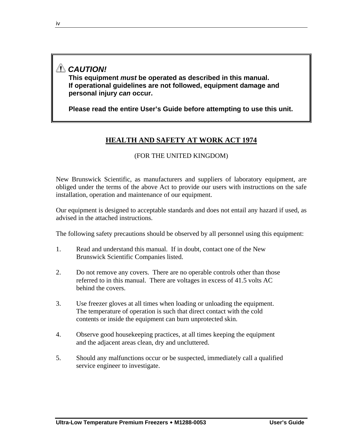# *CAUTION!*

**This equipment** *must* **be operated as described in this manual. If operational guidelines are not followed, equipment damage and personal injury** *can* **occur.** 

**Please read the entire User's Guide before attempting to use this unit.** 

## **HEALTH AND SAFETY AT WORK ACT 1974**

(FOR THE UNITED KINGDOM)

New Brunswick Scientific, as manufacturers and suppliers of laboratory equipment, are obliged under the terms of the above Act to provide our users with instructions on the safe installation, operation and maintenance of our equipment.

Our equipment is designed to acceptable standards and does not entail any hazard if used, as advised in the attached instructions.

The following safety precautions should be observed by all personnel using this equipment:

- 1. Read and understand this manual. If in doubt, contact one of the New Brunswick Scientific Companies listed.
- 2. Do not remove any covers. There are no operable controls other than those referred to in this manual. There are voltages in excess of 41.5 volts AC behind the covers.
- 3. Use freezer gloves at all times when loading or unloading the equipment. The temperature of operation is such that direct contact with the cold contents or inside the equipment can burn unprotected skin.
- 4. Observe good housekeeping practices, at all times keeping the equipment and the adjacent areas clean, dry and uncluttered.
- 5. Should any malfunctions occur or be suspected, immediately call a qualified service engineer to investigate.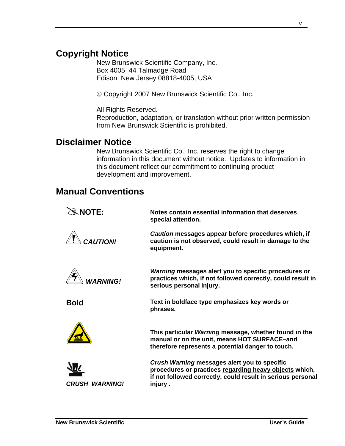# **Copyright Notice**

New Brunswick Scientific Company, Inc. Box 4005 44 Talmadge Road Edison, New Jersey 08818-4005, USA

© Copyright 2007 New Brunswick Scientific Co., Inc.

All Rights Reserved.

Reproduction, adaptation, or translation without prior written permission from New Brunswick Scientific is prohibited.

## **Disclaimer Notice**

New Brunswick Scientific Co., Inc. reserves the right to change information in this document without notice. Updates to information in this document reflect our commitment to continuing product development and improvement.

## **Manual Conventions**

| $\mathcal{R}$ NOTE:   | Notes contain essential information that deserves<br>special attention.                                                                                                           |
|-----------------------|-----------------------------------------------------------------------------------------------------------------------------------------------------------------------------------|
| <b>CAUTION!</b>       | Caution messages appear before procedures which, if<br>caution is not observed, could result in damage to the<br>equipment.                                                       |
| <b>VARNING!</b>       | <i>Warning</i> messages alert you to specific procedures or<br>practices which, if not followed correctly, could result in<br>serious personal injury.                            |
| <b>Bold</b>           | Text in boldface type emphasizes key words or<br>phrases.                                                                                                                         |
|                       | This particular Warning message, whether found in the<br>manual or on the unit, means HOT SURFACE-and<br>therefore represents a potential danger to touch.                        |
| <b>CRUSH WARNING!</b> | Crush Warning messages alert you to specific<br>procedures or practices regarding heavy objects which,<br>if not followed correctly, could result in serious personal<br>injury . |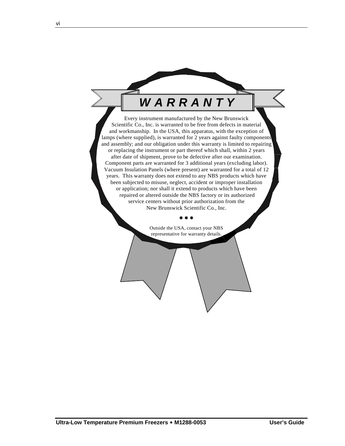# *W A R R A N T Y*

Every instrument manufactured by the New Brunswick Scientific Co., Inc. is warranted to be free from defects in material and workmanship. In the USA, this apparatus, with the exception of lamps (where supplied), is warranted for 2 years against faulty components and assembly; and our obligation under this warranty is limited to repairing or replacing the instrument or part thereof which shall, within 2 years after date of shipment, prove to be defective after our examination. Component parts are warranted for 3 additional years (excluding labor). Vacuum Insulation Panels (where present) are warranted for a total of 12 years. This warranty does not extend to any NBS products which have been subjected to misuse, neglect, accident or improper installation or application; nor shall it extend to products which have been repaired or altered outside the NBS factory or its authorized service centers without prior authorization from the New Brunswick Scientific Co., Inc.

> Outside the USA, contact your NBS representative for warranty details.

Æ Æ Æ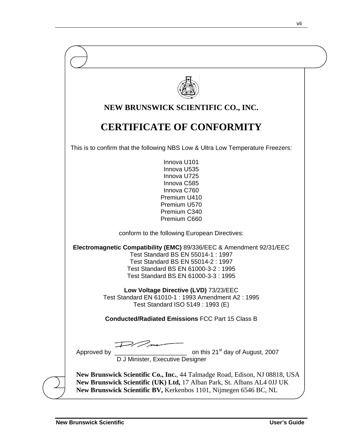| NEW BRUNSWICK SCIENTIFIC CO., INC.                                                                                                                                                                                             |
|--------------------------------------------------------------------------------------------------------------------------------------------------------------------------------------------------------------------------------|
| <b>CERTIFICATE OF CONFORMITY</b>                                                                                                                                                                                               |
| This is to confirm that the following NBS Low & Ultra Low Temperature Freezers:                                                                                                                                                |
| Innova U101<br>Innova U535<br>Innova U725<br>Innova C585<br>Innova C760<br>Premium U410<br>Premium U570<br>Premium C340<br>Premium C660                                                                                        |
| conform to the following European Directives:                                                                                                                                                                                  |
| Electromagnetic Compatibility (EMC) 89/336/EEC & Amendment 92/31/EEC<br>Test Standard BS EN 55014-1 : 1997<br>Test Standard BS EN 55014-2 : 1997<br>Test Standard BS EN 61000-3-2: 1995<br>Test Standard BS EN 61000-3-3: 1995 |
| Low Voltage Directive (LVD) 73/23/EEC<br>Test Standard EN 61010-1 : 1993 Amendment A2 : 1995<br>Test Standard ISO 5149 : 1993 (E)                                                                                              |
| <b>Conducted/Radiated Emissions FCC Part 15 Class B</b>                                                                                                                                                                        |
| on this<br>D J Minister, Executive Designer<br>on this 21 <sup>st</sup> day of August, 2007<br>Approved by                                                                                                                     |
| New Brunswick Scientific Co., Inc., 44 Talmadge Road, Edison, NJ 08818, USA<br>New Brunswick Scientific (UK) Ltd, 17 Alban Park, St. Albans AL4 0JJ UK<br>New Brunswick Scientific BV, Kerkenbos 1101, Nijmegen 6546 BC, NL    |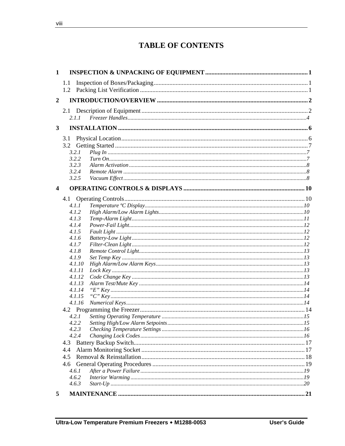# **TABLE OF CONTENTS**

| $\mathbf{1}$            |                  |  |
|-------------------------|------------------|--|
|                         | 1.1              |  |
|                         |                  |  |
|                         |                  |  |
| $\boldsymbol{2}$        |                  |  |
|                         |                  |  |
|                         | 2.1.1            |  |
| 3                       |                  |  |
|                         |                  |  |
|                         | 3.1              |  |
|                         |                  |  |
|                         | 3.2.1            |  |
|                         | 3.2.2<br>3.2.3   |  |
|                         | 3.2.4            |  |
|                         | 3.2.5            |  |
|                         |                  |  |
| $\overline{\mathbf{4}}$ |                  |  |
|                         |                  |  |
|                         | 4.1.1            |  |
|                         | 4.1.2            |  |
|                         | 4.1.3            |  |
|                         | 4.1.4            |  |
|                         | 4.1.5            |  |
|                         | 4.1.6            |  |
|                         | 4.1.7            |  |
|                         | 4.1.8            |  |
|                         | 4.1.9            |  |
|                         | 4.1.10           |  |
|                         | 4.1.11           |  |
|                         | 4.1.12           |  |
|                         | 4.1.13           |  |
|                         | 4.1.14           |  |
|                         | 4.1.15<br>4.1.16 |  |
|                         |                  |  |
|                         | 4.2.1            |  |
|                         |                  |  |
|                         | 4.2.3            |  |
|                         | 4.2.4            |  |
|                         | 4.3              |  |
|                         | 4.4              |  |
|                         | 4.5              |  |
|                         | 4.6              |  |
|                         | 4.6.1            |  |
|                         | 4.6.2            |  |
|                         | 4.6.3            |  |
|                         |                  |  |
| 5                       |                  |  |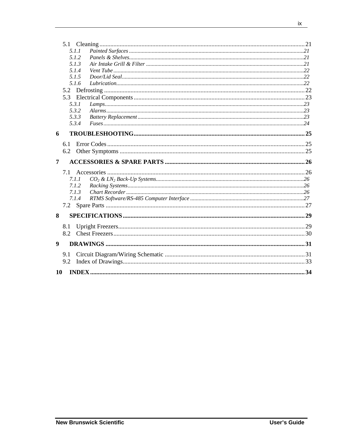|                | 5.1.1      |  |
|----------------|------------|--|
|                | 5.1.2      |  |
|                | 5.1.3      |  |
|                | 5.1.4      |  |
|                | 5.1.5      |  |
|                | 5.1.6      |  |
|                |            |  |
|                | 5.3        |  |
|                | 5.3.1      |  |
|                | 5.3.2      |  |
|                | 5.3.3      |  |
|                | 5.3.4      |  |
| 6              |            |  |
|                |            |  |
|                | 6.1        |  |
|                | 6.2        |  |
|                |            |  |
| $\overline{7}$ |            |  |
|                |            |  |
|                | 7.1        |  |
|                | 7.1.1      |  |
|                | 7.1.2      |  |
|                | 7.1.3      |  |
|                | 7.1.4      |  |
|                |            |  |
|                |            |  |
| 8              |            |  |
|                | 8.1<br>8.2 |  |
|                |            |  |
| 9              |            |  |
|                | 9.1        |  |
|                | 9.2        |  |
| 10             |            |  |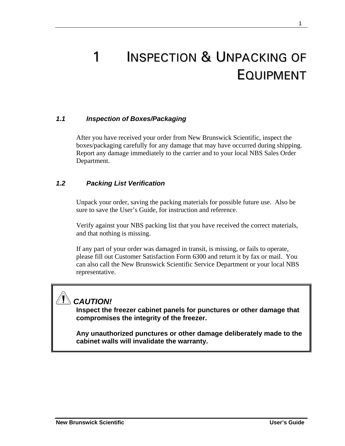# **INSPECTION & UNPACKING OF** EQUIPMENT

### *1.1 Inspection of Boxes/Packaging*

After you have received your order from New Brunswick Scientific, inspect the boxes/packaging carefully for any damage that may have occurred during shipping. Report any damage immediately to the carrier and to your local NBS Sales Order Department.

#### *1.2 Packing List Verification*

Unpack your order, saving the packing materials for possible future use. Also be sure to save the User's Guide, for instruction and reference.

Verify against your NBS packing list that you have received the correct materials, and that nothing is missing.

If any part of your order was damaged in transit, is missing, or fails to operate, please fill out Customer Satisfaction Form 6300 and return it by fax or mail. You can also call the New Brunswick Scientific Service Department or your local NBS representative.

# *CAUTION!*

**Inspect the freezer cabinet panels for punctures or other damage that compromises the integrity of the freezer.** 

**Any unauthorized punctures or other damage deliberately made to the cabinet walls will invalidate the warranty.**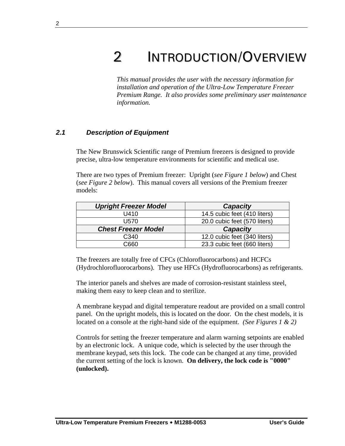# 2 INTRODUCTION/OVERVIEW

*This manual provides the user with the necessary information for installation and operation of the Ultra-Low Temperature Freezer Premium Range. It also provides some preliminary user maintenance information.* 

#### *2.1 Description of Equipment*

The New Brunswick Scientific range of Premium freezers is designed to provide precise, ultra-low temperature environments for scientific and medical use.

There are two types of Premium freezer: Upright (*see Figure 1 below*) and Chest (*see Figure 2 below*). This manual covers all versions of the Premium freezer models:

| <b>Upright Freezer Model</b> | <b>Capacity</b>              |
|------------------------------|------------------------------|
| U410                         | 14.5 cubic feet (410 liters) |
| U570                         | 20.0 cubic feet (570 liters) |
| <b>Chest Freezer Model</b>   | <b>Capacity</b>              |
| C340                         | 12.0 cubic feet (340 liters) |
| ි660                         | 23.3 cubic feet (660 liters) |

The freezers are totally free of CFCs (Chlorofluorocarbons) and HCFCs (Hydrochlorofluorocarbons). They use HFCs (Hydrofluorocarbons) as refrigerants.

The interior panels and shelves are made of corrosion-resistant stainless steel, making them easy to keep clean and to sterilize.

A membrane keypad and digital temperature readout are provided on a small control panel. On the upright models, this is located on the door. On the chest models, it is located on a console at the right-hand side of the equipment. *(See Figures 1 & 2)* 

Controls for setting the freezer temperature and alarm warning setpoints are enabled by an electronic lock. A unique code, which is selected by the user through the membrane keypad, sets this lock. The code can be changed at any time, provided the current setting of the lock is known. **On delivery, the lock code is "0000" (unlocked).**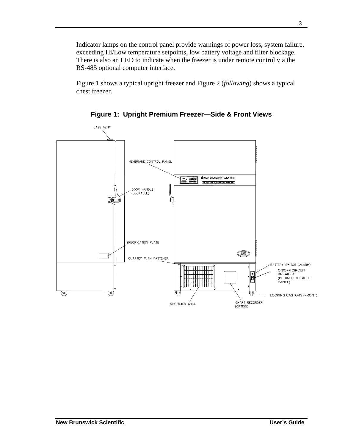Indicator lamps on the control panel provide warnings of power loss, system failure, exceeding Hi/Low temperature setpoints, low battery voltage and filter blockage. There is also an LED to indicate when the freezer is under remote control via the RS-485 optional computer interface.

Figure 1 shows a typical upright freezer and Figure 2 (*following*) shows a typical chest freezer.



**Figure 1: Upright Premium Freezer—Side & Front Views**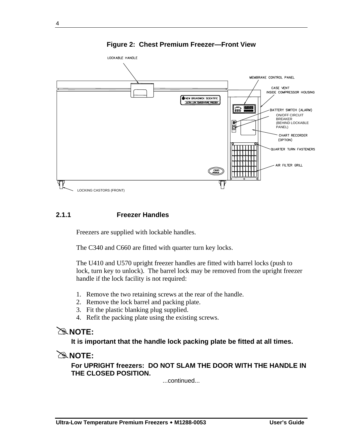

**Figure 2: Chest Premium Freezer—Front View** 

#### **2.1.1 Freezer Handles**

Freezers are supplied with lockable handles.

The C340 and C660 are fitted with quarter turn key locks.

The U410 and U570 upright freezer handles are fitted with barrel locks (push to lock, turn key to unlock). The barrel lock may be removed from the upright freezer handle if the lock facility is not required:

- 1. Remove the two retaining screws at the rear of the handle.
- 2. Remove the lock barrel and packing plate.
- 3. Fit the plastic blanking plug supplied.
- 4. Refit the packing plate using the existing screws.

## #**NOTE:**

**It is important that the handle lock packing plate be fitted at all times.** 

## #**NOTE:**

**For UPRIGHT freezers: DO NOT SLAM THE DOOR WITH THE HANDLE IN THE CLOSED POSITION.** 

...continued...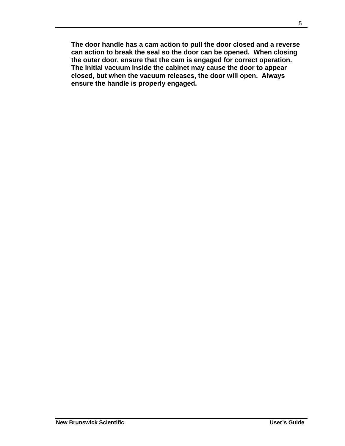**The door handle has a cam action to pull the door closed and a reverse can action to break the seal so the door can be opened. When closing the outer door, ensure that the cam is engaged for correct operation. The initial vacuum inside the cabinet may cause the door to appear closed, but when the vacuum releases, the door will open. Always ensure the handle is properly engaged.**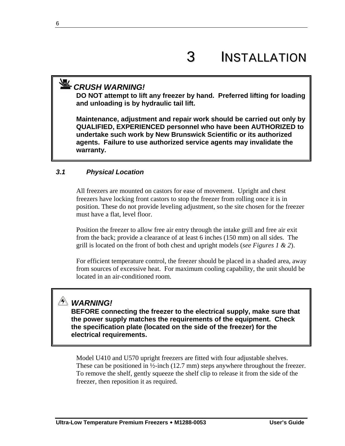# **丛** CRUSH WARNING!

**DO NOT attempt to lift any freezer by hand. Preferred lifting for loading and unloading is by hydraulic tail lift.** 

**Maintenance, adjustment and repair work should be carried out only by QUALIFIED, EXPERIENCED personnel who have been AUTHORIZED to undertake such work by New Brunswick Scientific or its authorized agents. Failure to use authorized service agents may invalidate the warranty.** 

### *3.1 Physical Location*

All freezers are mounted on castors for ease of movement. Upright and chest freezers have locking front castors to stop the freezer from rolling once it is in position. These do not provide leveling adjustment, so the site chosen for the freezer must have a flat, level floor.

Position the freezer to allow free air entry through the intake grill and free air exit from the back; provide a clearance of at least 6 inches (150 mm) on all sides. The grill is located on the front of both chest and upright models (*see Figures 1 & 2*).

For efficient temperature control, the freezer should be placed in a shaded area, away from sources of excessive heat. For maximum cooling capability, the unit should be located in an air-conditioned room.

# *WARNING!*

**BEFORE connecting the freezer to the electrical supply, make sure that the power supply matches the requirements of the equipment. Check the specification plate (located on the side of the freezer) for the electrical requirements.** 

Model U410 and U570 upright freezers are fitted with four adjustable shelves. These can be positioned in  $\frac{1}{2}$ -inch (12.7 mm) steps anywhere throughout the freezer. To remove the shelf, gently squeeze the shelf clip to release it from the side of the freezer, then reposition it as required.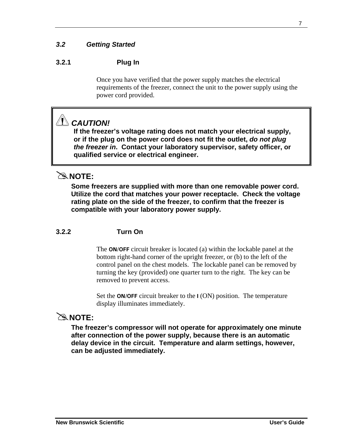# *3.2 Getting Started*

### **3.2.1 Plug In**

Once you have verified that the power supply matches the electrical requirements of the freezer, connect the unit to the power supply using the power cord provided.

# *CAUTION!*

**If the freezer's voltage rating does not match your electrical supply, or if the plug on the power cord does not fit the outlet,** *do not plug the freezer in***. Contact your laboratory supervisor, safety officer, or qualified service or electrical engineer.** 

## #**NOTE:**

**Some freezers are supplied with more than one removable power cord. Utilize the cord that matches your power receptacle. Check the voltage rating plate on the side of the freezer, to confirm that the freezer is compatible with your laboratory power supply.** 

#### **3.2.2 Turn On**

The **ON/OFF** circuit breaker is located (a) within the lockable panel at the bottom right-hand corner of the upright freezer, or (b) to the left of the control panel on the chest models. The lockable panel can be removed by turning the key (provided) one quarter turn to the right. The key can be removed to prevent access.

Set the **ON/OFF** circuit breaker to the **I** (ON) position. The temperature display illuminates immediately.

## #**NOTE:**

**The freezer's compressor will not operate for approximately one minute after connection of the power supply, because there is an automatic delay device in the circuit. Temperature and alarm settings, however, can be adjusted immediately.**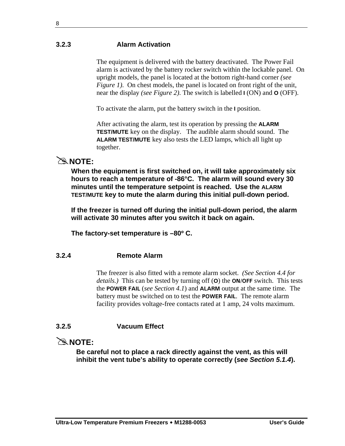#### **3.2.3 Alarm Activation**

The equipment is delivered with the battery deactivated. The Power Fail alarm is activated by the battery rocker switch within the lockable panel. On upright models, the panel is located at the bottom right-hand corner *(see Figure 1*). On chest models, the panel is located on front right of the unit, near the display *(see Figure 2)*. The switch is labelled **I** (ON) and **O** (OFF).

To activate the alarm, put the battery switch in the **I** position.

After activating the alarm, test its operation by pressing the **ALARM TEST/MUTE** key on the display. The audible alarm should sound. The **ALARM TEST/MUTE** key also tests the LED lamps, which all light up together.

## #**NOTE:**

**When the equipment is first switched on, it will take approximately six hours to reach a temperature of -86°C. The alarm will sound every 30 minutes until the temperature setpoint is reached. Use the ALARM TEST/MUTE key to mute the alarm during this initial pull-down period.** 

**If the freezer is turned off during the initial pull-down period, the alarm will activate 30 minutes after you switch it back on again.** 

**The factory-set temperature is –80º C.** 

### **3.2.4 Remote Alarm**

The freezer is also fitted with a remote alarm socket. *(See Section 4.4 for details.)* This can be tested by turning off (**O**) the **ON/OFF** switch. This tests the **POWER FAIL** (*see Section 4.1*) and **ALARM** output at the same time. The battery must be switched on to test the **POWER FAIL**. The remote alarm facility provides voltage-free contacts rated at 1 amp, 24 volts maximum.

## **3.2.5 Vacuum Effect**

## $\mathbb{R}$  NOTE:

**Be careful not to place a rack directly against the vent, as this will inhibit the vent tube's ability to operate correctly (***see Section 5.1.4***).**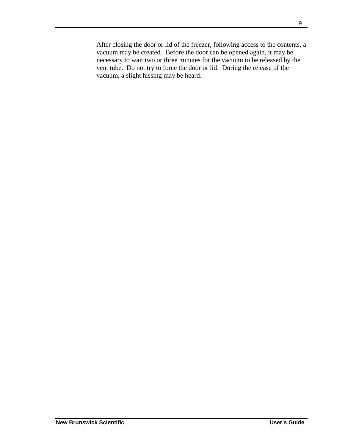After closing the door or lid of the freezer, following access to the contents, a vacuum may be created. Before the door can be opened again, it may be necessary to wait two or three minutes for the vacuum to be released by the vent tube. Do not try to force the door or lid. During the release of the vacuum, a slight hissing may be heard.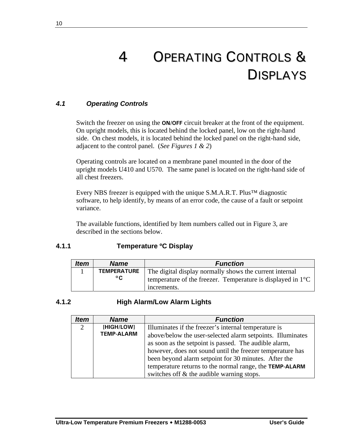# 4 OPERATING CONTROLS & DISPLAYS

## *4.1 Operating Controls*

Switch the freezer on using the **ON/OFF** circuit breaker at the front of the equipment. On upright models, this is located behind the locked panel, low on the right-hand side. On chest models, it is located behind the locked panel on the right-hand side, adjacent to the control panel. (*See Figures 1 & 2*)

Operating controls are located on a membrane panel mounted in the door of the upright models U410 and U570. The same panel is located on the right-hand side of all chest freezers.

Every NBS freezer is equipped with the unique S.M.A.R.T. Plus™ diagnostic software, to help identify, by means of an error code, the cause of a fault or setpoint variance.

The available functions, identified by Item numbers called out in Figure 3, are described in the sections below.

## **4.1.1 Temperature ºC Display**

| <b>Item</b> | <b>Name</b>                        | <b>Function</b>                                                                                                                                |
|-------------|------------------------------------|------------------------------------------------------------------------------------------------------------------------------------------------|
|             | <b>TEMPERATURE</b><br>$^{\circ}$ C | The digital display normally shows the current internal<br>temperature of the freezer. Temperature is displayed in $1^{\circ}C$<br>increments. |

### **4.1.2 High Alarm/Low Alarm Lights**

| <b>Item</b>    | <b>Name</b>       | <b>Function</b>                                            |
|----------------|-------------------|------------------------------------------------------------|
| $\overline{2}$ | [HIGH/LOW]        | Illuminates if the freezer's internal temperature is       |
|                | <b>TEMP-ALARM</b> | above/below the user-selected alarm setpoints. Illuminates |
|                |                   | as soon as the setpoint is passed. The audible alarm,      |
|                |                   | however, does not sound until the freezer temperature has  |
|                |                   | been beyond alarm setpoint for 30 minutes. After the       |
|                |                   | temperature returns to the normal range, the TEMP-ALARM    |
|                |                   | switches off & the audible warning stops.                  |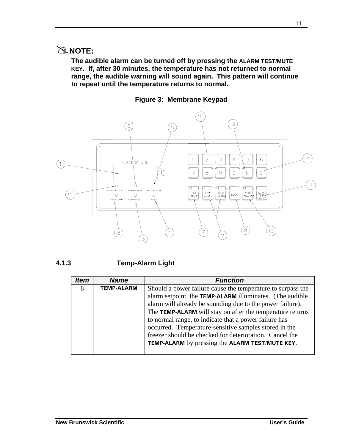## #**NOTE:**

**The audible alarm can be turned off by pressing the ALARM TEST/MUTE KEY. If, after 30 minutes, the temperature has not returned to normal range, the audible warning will sound again. This pattern will continue to repeat until the temperature returns to normal.** 





### **4.1.3 Temp-Alarm Light**

| <i><b>Item</b></i> | <b>Name</b>       | <b>Function</b>                                             |
|--------------------|-------------------|-------------------------------------------------------------|
| 8                  | <b>TEMP-ALARM</b> | Should a power failure cause the temperature to surpass the |
|                    |                   | alarm setpoint, the TEMP-ALARM illuminates. (The audible    |
|                    |                   | alarm will already be sounding due to the power failure).   |
|                    |                   | The TEMP-ALARM will stay on after the temperature returns   |
|                    |                   | to normal range, to indicate that a power failure has       |
|                    |                   | occurred. Temperature-sensitive samples stored in the       |
|                    |                   | freezer should be checked for deterioration. Cancel the     |
|                    |                   | TEMP-ALARM by pressing the ALARM TEST/MUTE KEY.             |
|                    |                   |                                                             |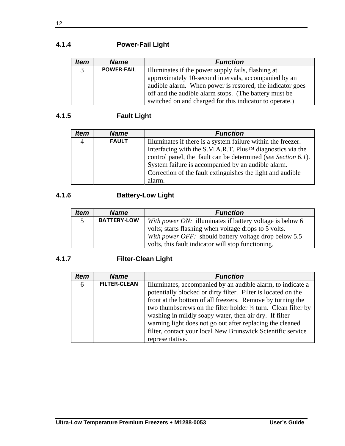## **4.1.4 Power-Fail Light**

| <b>Item</b>    | <b>Name</b>       | <b>Function</b>                                           |
|----------------|-------------------|-----------------------------------------------------------|
| $\overline{3}$ | <b>POWER-FAIL</b> | Illuminates if the power supply fails, flashing at        |
|                |                   | approximately 10-second intervals, accompanied by an      |
|                |                   | audible alarm. When power is restored, the indicator goes |
|                |                   | off and the audible alarm stops. (The battery must be     |
|                |                   | switched on and charged for this indicator to operate.)   |

## **4.1.5 Fault Light**

| ltem           | <b>Name</b>  | <b>Function</b>                                               |
|----------------|--------------|---------------------------------------------------------------|
| $\overline{4}$ | <b>FAULT</b> | Illuminates if there is a system failure within the freezer.  |
|                |              | Interfacing with the S.M.A.R.T. Plus™ diagnostics via the     |
|                |              | control panel, the fault can be determined (see Section 6.1). |
|                |              | System failure is accompanied by an audible alarm.            |
|                |              | Correction of the fault extinguishes the light and audible    |
|                |              | alarm.                                                        |

## **4.1.6 Battery-Low Light**

| <b>Item</b> | <b>Name</b>        | <b>Function</b>                                          |
|-------------|--------------------|----------------------------------------------------------|
| 5.          | <b>BATTERY-LOW</b> | With power ON: illuminates if battery voltage is below 6 |
|             |                    | volts; starts flashing when voltage drops to 5 volts.    |
|             |                    | With power OFF: should battery voltage drop below 5.5    |
|             |                    | volts, this fault indicator will stop functioning.       |

## **4.1.7 Filter-Clean Light**

| <b>Item</b> | <b>Name</b>         | <b>Function</b>                                                                                                                                                                                                                                                                                                                                                                                                                                                       |
|-------------|---------------------|-----------------------------------------------------------------------------------------------------------------------------------------------------------------------------------------------------------------------------------------------------------------------------------------------------------------------------------------------------------------------------------------------------------------------------------------------------------------------|
| 6           | <b>FILTER-CLEAN</b> | Illuminates, accompanied by an audible alarm, to indicate a<br>potentially blocked or dirty filter. Filter is located on the<br>front at the bottom of all freezers. Remove by turning the<br>two thumbscrews on the filter holder 1/4 turn. Clean filter by<br>washing in mildly soapy water, then air dry. If filter<br>warning light does not go out after replacing the cleaned<br>filter, contact your local New Brunswick Scientific service<br>representative. |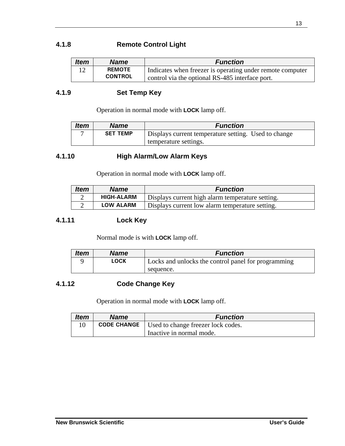### **4.1.8 Remote Control Light**

| <b>Item</b> | <b>Name</b>    | <b>Function</b>                                           |
|-------------|----------------|-----------------------------------------------------------|
|             | <b>REMOTE</b>  | Indicates when freezer is operating under remote computer |
|             | <b>CONTROL</b> | control via the optional RS-485 interface port.           |

#### **4.1.9 Set Temp Key**

Operation in normal mode with **LOCK** lamp off.

| <b>Item</b> | <b>Name</b>     | <b>Function</b>                                      |
|-------------|-----------------|------------------------------------------------------|
|             | <b>SET TEMP</b> | Displays current temperature setting. Used to change |
|             |                 | temperature settings.                                |

## **4.1.10 High Alarm/Low Alarm Keys**

Operation in normal mode with **LOCK** lamp off.

| <b>Item</b> | <b>Name</b>       | <b>Function</b>                                  |
|-------------|-------------------|--------------------------------------------------|
|             | <b>HIGH-ALARM</b> | Displays current high alarm temperature setting. |
|             | <b>LOW ALARM</b>  | Displays current low alarm temperature setting.  |

#### **4.1.11 Lock Key**

Normal mode is with **LOCK** lamp off.

| Item | Name | <b>Function</b>                                     |
|------|------|-----------------------------------------------------|
|      | LOCK | Locks and unlocks the control panel for programming |
|      |      | sequence.                                           |

## **4.1.12 Code Change Key**

Operation in normal mode with **LOCK** lamp off.

| <b>Item</b> | <b>Name</b> | <b>Function</b>                                         |
|-------------|-------------|---------------------------------------------------------|
|             |             | <b>CODE CHANGE</b>   Used to change freezer lock codes. |
|             |             | Inactive in normal mode.                                |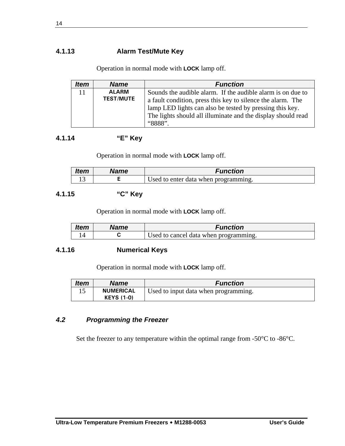### **4.1.13 Alarm Test/Mute Key**

Operation in normal mode with **LOCK** lamp off.

| <i><b>Item</b></i> | <b>Name</b>      | <b>Function</b>                                              |
|--------------------|------------------|--------------------------------------------------------------|
| 11                 | <b>ALARM</b>     | Sounds the audible alarm. If the audible alarm is on due to  |
|                    | <b>TEST/MUTE</b> | a fault condition, press this key to silence the alarm. The  |
|                    |                  | lamp LED lights can also be tested by pressing this key.     |
|                    |                  | The lights should all illuminate and the display should read |
|                    |                  | "RRR"                                                        |

### **4.1.14 "E" Key**

Operation in normal mode with **LOCK** lamp off.

| <b>Item</b> | Name | Function                             |
|-------------|------|--------------------------------------|
|             |      | Used to enter data when programming. |

## **4.1.15 "C" Key**

Operation in normal mode with **LOCK** lamp off.

| <b>Item</b> | Name | Function                              |
|-------------|------|---------------------------------------|
|             |      | Used to cancel data when programming. |

#### **4.1.16 Numerical Keys**

Operation in normal mode with **LOCK** lamp off.

| <b>Item</b> | Name              | <b>Function</b>                      |
|-------------|-------------------|--------------------------------------|
|             | <b>NUMERICAL</b>  | Used to input data when programming. |
|             | <b>KEYS (1-0)</b> |                                      |

#### *4.2 Programming the Freezer*

Set the freezer to any temperature within the optimal range from -50°C to -86°C.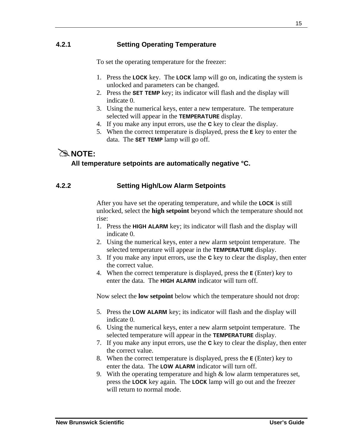## **4.2.1 Setting Operating Temperature**

To set the operating temperature for the freezer:

- 1. Press the **LOCK** key. The **LOCK** lamp will go on, indicating the system is unlocked and parameters can be changed.
- 2. Press the **SET TEMP** key; its indicator will flash and the display will indicate 0.
- 3. Using the numerical keys, enter a new temperature. The temperature selected will appear in the **TEMPERATURE** display.
- 4. If you make any input errors, use the **C** key to clear the display.
- 5. When the correct temperature is displayed, press the **E** key to enter the data. The **SET TEMP** lamp will go off.

## $\approx$  NOTF $\cdot$

#### **All temperature setpoints are automatically negative °C.**

#### **4.2.2 Setting High/Low Alarm Setpoints**

After you have set the operating temperature, and while the **LOCK** is still unlocked, select the **high setpoint** beyond which the temperature should not rise:

- 1. Press the **HIGH ALARM** key; its indicator will flash and the display will indicate 0.
- 2. Using the numerical keys, enter a new alarm setpoint temperature. The selected temperature will appear in the **TEMPERATURE** display.
- 3. If you make any input errors, use the **C** key to clear the display, then enter the correct value.
- 4. When the correct temperature is displayed, press the **E** (Enter) key to enter the data. The **HIGH ALARM** indicator will turn off.

Now select the **low setpoint** below which the temperature should not drop:

- 5. Press the **LOW ALARM** key; its indicator will flash and the display will indicate 0.
- 6. Using the numerical keys, enter a new alarm setpoint temperature. The selected temperature will appear in the **TEMPERATURE** display.
- 7. If you make any input errors, use the **C** key to clear the display, then enter the correct value.
- 8. When the correct temperature is displayed, press the **E** (Enter) key to enter the data. The **LOW ALARM** indicator will turn off.
- 9. With the operating temperature and high & low alarm temperatures set, press the **LOCK** key again. The **LOCK** lamp will go out and the freezer will return to normal mode.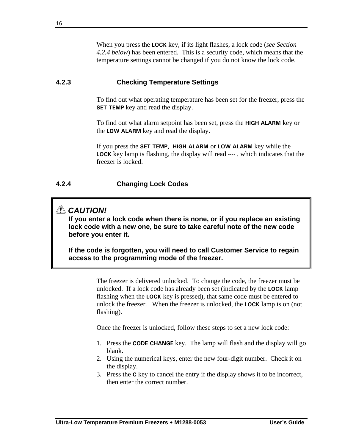When you press the **LOCK** key, if its light flashes, a lock code (*see Section 4.2.4 below*) has been entered. This is a security code, which means that the temperature settings cannot be changed if you do not know the lock code.

#### **4.2.3 Checking Temperature Settings**

To find out what operating temperature has been set for the freezer, press the **SET TEMP** key and read the display.

To find out what alarm setpoint has been set, press the **HIGH ALARM** key or the **LOW ALARM** key and read the display.

If you press the **SET TEMP**, **HIGH ALARM** or **LOW ALARM** key while the **LOCK** key lamp is flashing, the display will read **----** , which indicates that the freezer is locked.

## **4.2.4 Changing Lock Codes**

## *CAUTION!*

**If you enter a lock code when there is none, or if you replace an existing lock code with a new one, be sure to take careful note of the new code before you enter it.** 

**If the code is forgotten, you will need to call Customer Service to regain access to the programming mode of the freezer.** 

> The freezer is delivered unlocked. To change the code, the freezer must be unlocked. If a lock code has already been set (indicated by the **LOCK** lamp flashing when the **LOCK** key is pressed), that same code must be entered to unlock the freezer. When the freezer is unlocked, the **LOCK** lamp is on (not flashing).

Once the freezer is unlocked, follow these steps to set a new lock code:

- 1. Press the **CODE CHANGE** key. The lamp will flash and the display will go blank.
- 2. Using the numerical keys, enter the new four-digit number. Check it on the display.
- 3. Press the **C** key to cancel the entry if the display shows it to be incorrect, then enter the correct number.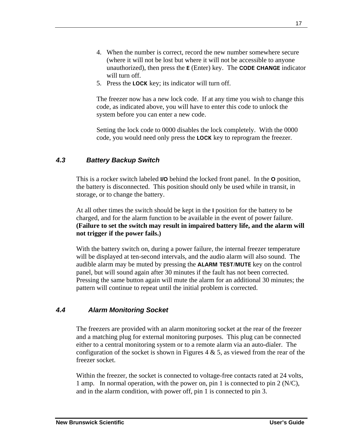- 4. When the number is correct, record the new number somewhere secure (where it will not be lost but where it will not be accessible to anyone unauthorized), then press the **E** (Enter) key. The **CODE CHANGE** indicator will turn off.
- 5. Press the **LOCK** key; its indicator will turn off.

The freezer now has a new lock code. If at any time you wish to change this code, as indicated above, you will have to enter this code to unlock the system before you can enter a new code.

Setting the lock code to 0000 disables the lock completely. With the 0000 code, you would need only press the **LOCK** key to reprogram the freezer.

## *4.3 Battery Backup Switch*

This is a rocker switch labeled **I/O** behind the locked front panel. In the **O** position, the battery is disconnected. This position should only be used while in transit, in storage, or to change the battery.

At all other times the switch should be kept in the **I** position for the battery to be charged, and for the alarm function to be available in the event of power failure. **(Failure to set the switch may result in impaired battery life, and the alarm will not trigger if the power fails.)**

With the battery switch on, during a power failure, the internal freezer temperature will be displayed at ten-second intervals, and the audio alarm will also sound. The audible alarm may be muted by pressing the **ALARM TEST/MUTE** key on the control panel, but will sound again after 30 minutes if the fault has not been corrected. Pressing the same button again will mute the alarm for an additional 30 minutes; the pattern will continue to repeat until the initial problem is corrected.

### *4.4 Alarm Monitoring Socket*

The freezers are provided with an alarm monitoring socket at the rear of the freezer and a matching plug for external monitoring purposes. This plug can be connected either to a central monitoring system or to a remote alarm via an auto-dialer. The configuration of the socket is shown in Figures 4  $\&$  5, as viewed from the rear of the freezer socket.

Within the freezer, the socket is connected to voltage-free contacts rated at 24 volts, 1 amp. In normal operation, with the power on, pin 1 is connected to pin 2 (N/C), and in the alarm condition, with power off, pin 1 is connected to pin 3.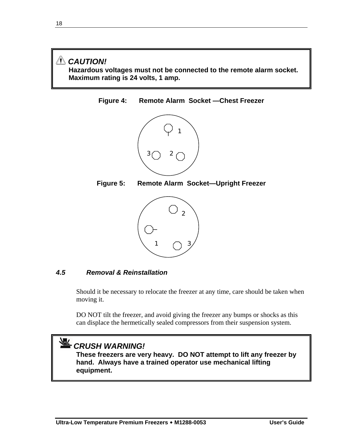## *CAUTION!*  **Hazardous voltages must not be connected to the remote alarm socket. Maximum rating is 24 volts, 1 amp.**

**Figure 4: Remote Alarm Socket —Chest Freezer** 



**Figure 5: Remote Alarm Socket—Upright Freezer** 



### *4.5 Removal & Reinstallation*

Should it be necessary to relocate the freezer at any time, care should be taken when moving it.

DO NOT tilt the freezer, and avoid giving the freezer any bumps or shocks as this can displace the hermetically sealed compressors from their suspension system.

# *CRUSH WARNING!*

**These freezers are very heavy. DO NOT attempt to lift any freezer by hand. Always have a trained operator use mechanical lifting equipment.**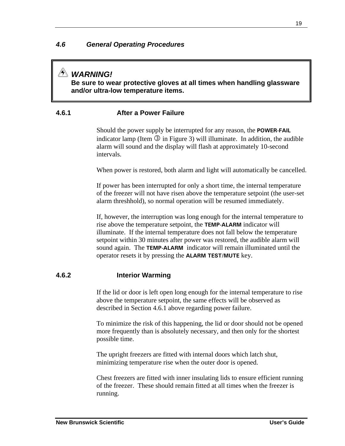## *WARNING!*

**Be sure to wear protective gloves at all times when handling glassware and/or ultra-low temperature items.** 

### **4.6.1 After a Power Failure**

Should the power supply be interrupted for any reason, the **POWER-FAIL** indicator lamp (Item  $\Im$  in Figure 3) will illuminate. In addition, the audible alarm will sound and the display will flash at approximately 10-second intervals.

When power is restored, both alarm and light will automatically be cancelled.

If power has been interrupted for only a short time, the internal temperature of the freezer will not have risen above the temperature setpoint (the user-set alarm threshhold), so normal operation will be resumed immediately.

If, however, the interruption was long enough for the internal temperature to rise above the temperature setpoint, the **TEMP-ALARM** indicator will illuminate. If the internal temperature does not fall below the temperature setpoint within 30 minutes after power was restored, the audible alarm will sound again. The **TEMP-ALARM** indicator will remain illuminated until the operator resets it by pressing the **ALARM TEST/MUTE** key.

### **4.6.2 Interior Warming**

If the lid or door is left open long enough for the internal temperature to rise above the temperature setpoint, the same effects will be observed as described in Section 4.6.1 above regarding power failure.

To minimize the risk of this happening, the lid or door should not be opened more frequently than is absolutely necessary, and then only for the shortest possible time.

The upright freezers are fitted with internal doors which latch shut, minimizing temperature rise when the outer door is opened.

Chest freezers are fitted with inner insulating lids to ensure efficient running of the freezer. These should remain fitted at all times when the freezer is running.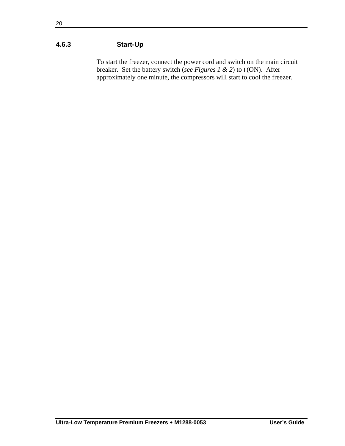## **4.6.3 Start-Up**

To start the freezer, connect the power cord and switch on the main circuit breaker. Set the battery switch (*see Figures 1 & 2*) to **I** (ON). After approximately one minute, the compressors will start to cool the freezer.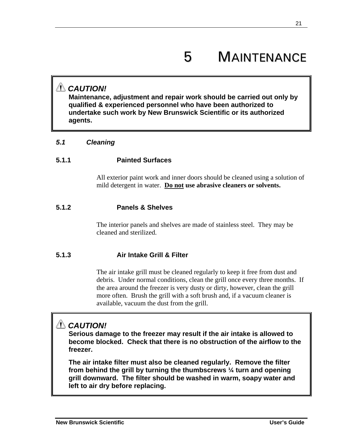# 5 MAINTENANCE

## *CAUTION!*

**Maintenance, adjustment and repair work should be carried out only by qualified & experienced personnel who have been authorized to undertake such work by New Brunswick Scientific or its authorized agents.** 

#### *5.1 Cleaning*

### **5.1.1 Painted Surfaces**

All exterior paint work and inner doors should be cleaned using a solution of mild detergent in water. **Do not use abrasive cleaners or solvents.** 

#### **5.1.2 Panels & Shelves**

The interior panels and shelves are made of stainless steel. They may be cleaned and sterilized.

### **5.1.3 Air Intake Grill & Filter**

The air intake grill must be cleaned regularly to keep it free from dust and debris. Under normal conditions, clean the grill once every three months. If the area around the freezer is very dusty or dirty, however, clean the grill more often. Brush the grill with a soft brush and, if a vacuum cleaner is available, vacuum the dust from the grill.

## *CAUTION!*

**Serious damage to the freezer may result if the air intake is allowed to become blocked. Check that there is no obstruction of the airflow to the freezer.** 

**The air intake filter must also be cleaned regularly. Remove the filter from behind the grill by turning the thumbscrews ¼ turn and opening grill downward. The filter should be washed in warm, soapy water and left to air dry before replacing.**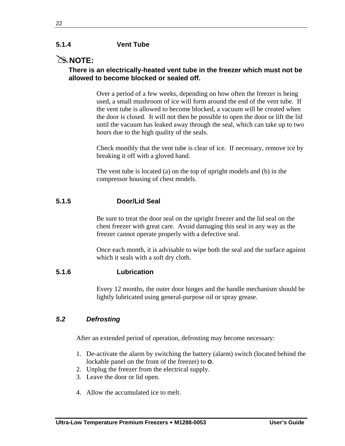#### **5.1.4 Vent Tube**

## #**NOTE:**

#### **There is an electrically-heated vent tube in the freezer which must not be allowed to become blocked or sealed off.**

Over a period of a few weeks, depending on how often the freezer is being used, a small mushroom of ice will form around the end of the vent tube. If the vent tube is allowed to become blocked, a vacuum will be created when the door is closed. It will not then be possible to open the door or lift the lid until the vacuum has leaked away through the seal, which can take up to two hours due to the high quality of the seals.

Check monthly that the vent tube is clear of ice. If necessary, remove ice by breaking it off with a gloved hand.

The vent tube is located (a) on the top of upright models and (b) in the compressor housing of chest models.

### **5.1.5 Door/Lid Seal**

Be sure to treat the door seal on the upright freezer and the lid seal on the chest freezer with great care. Avoid damaging this seal in any way as the freezer cannot operate properly with a defective seal.

Once each month, it is advisable to wipe both the seal and the surface against which it seals with a soft dry cloth.

#### **5.1.6 Lubrication**

Every 12 months, the outer door hinges and the handle mechanism should be lightly lubricated using general-purpose oil or spray grease.

#### *5.2 Defrosting*

After an extended period of operation, defrosting may become necessary:

- 1. De-activate the alarm by switching the battery (alarm) switch (located behind the lockable panel on the front of the freezer) to **O**.
- 2. Unplug the freezer from the electrical supply.
- 3. Leave the door or lid open.
- 4. Allow the accumulated ice to melt.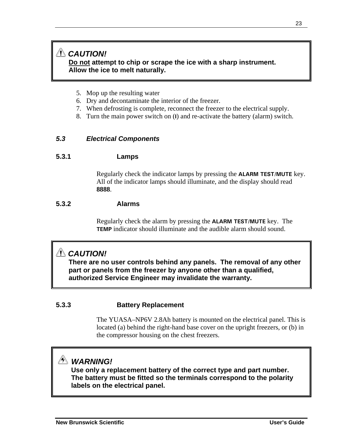## *CAUTION!* **Do not attempt to chip or scrape the ice with a sharp instrument. Allow the ice to melt naturally.**

- 5. Mop up the resulting water
- 6. Dry and decontaminate the interior of the freezer.
- 7. When defrosting is complete, reconnect the freezer to the electrical supply.
- 8. Turn the main power switch on (**I**) and re-activate the battery (alarm) switch.

#### *5.3 Electrical Components*

#### **5.3.1 Lamps**

Regularly check the indicator lamps by pressing the **ALARM TEST/MUTE** key. All of the indicator lamps should illuminate, and the display should read **8888**.

#### **5.3.2 Alarms**

Regularly check the alarm by pressing the **ALARM TEST/MUTE** key. The **TEMP** indicator should illuminate and the audible alarm should sound.

## *CAUTION!*

**There are no user controls behind any panels. The removal of any other part or panels from the freezer by anyone other than a qualified, authorized Service Engineer may invalidate the warranty.** 

#### **5.3.3 Battery Replacement**

The YUASA–NP6V 2.8Ah battery is mounted on the electrical panel. This is located (a) behind the right-hand base cover on the upright freezers, or (b) in the compressor housing on the chest freezers.

# *WARNING!*

**Use only a replacement battery of the correct type and part number. The battery must be fitted so the terminals correspond to the polarity labels on the electrical panel.**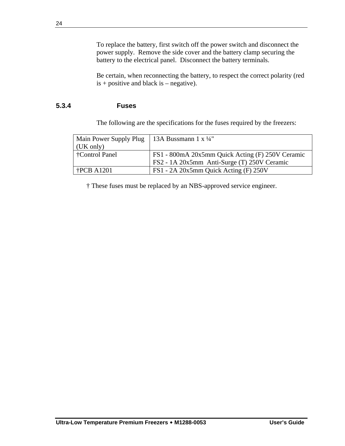To replace the battery, first switch off the power switch and disconnect the power supply. Remove the side cover and the battery clamp securing the battery to the electrical panel. Disconnect the battery terminals.

Be certain, when reconnecting the battery, to respect the correct polarity (red  $is + positive$  and black is – negative).

### **5.3.4 Fuses**

The following are the specifications for the fuses required by the freezers:

| Main Power Supply Plug   13A Bussmann 1 x ¼" |                                                  |
|----------------------------------------------|--------------------------------------------------|
| (UK only)                                    |                                                  |
| †Control Panel                               | FS1 - 800mA 20x5mm Quick Acting (F) 250V Ceramic |
|                                              | FS2 - 1A 20x5mm Anti-Surge (T) 250V Ceramic      |
| $\text{tPCB}$ A1201                          | FS1 - 2A 20x5mm Quick Acting (F) 250V            |

† These fuses must be replaced by an NBS-approved service engineer.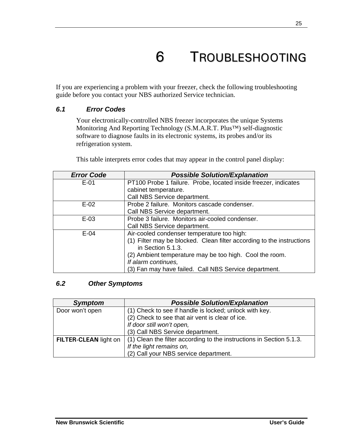# 6 TROUBLESHOOTING

If you are experiencing a problem with your freezer, check the following troubleshooting guide before you contact your NBS authorized Service technician.

#### *6.1 Error Codes*

Your electronically-controlled NBS freezer incorporates the unique Systems Monitoring And Reporting Technology (S.M.A.R.T. Plus™) self-diagnostic software to diagnose faults in its electronic systems, its probes and/or its refrigeration system.

This table interprets error codes that may appear in the control panel display:

| <b>Error Code</b> | <b>Possible Solution/Explanation</b>                                  |
|-------------------|-----------------------------------------------------------------------|
| $E-01$            | PT100 Probe 1 failure. Probe, located inside freezer, indicates       |
|                   | cabinet temperature.                                                  |
|                   | Call NBS Service department.                                          |
| $E-02$            | Probe 2 failure. Monitors cascade condenser.                          |
|                   | Call NBS Service department.                                          |
| $E-03$            | Probe 3 failure. Monitors air-cooled condenser.                       |
|                   | Call NBS Service department.                                          |
| $E-04$            | Air-cooled condenser temperature too high:                            |
|                   | (1) Filter may be blocked. Clean filter according to the instructions |
|                   | in Section 5.1.3.                                                     |
|                   | (2) Ambient temperature may be too high. Cool the room.               |
|                   | If alarm continues,                                                   |
|                   | (3) Fan may have failed. Call NBS Service department.                 |

#### *6.2 Other Symptoms*

| <b>Symptom</b>        | <b>Possible Solution/Explanation</b>                                 |
|-----------------------|----------------------------------------------------------------------|
| Door won't open       | (1) Check to see if handle is locked; unlock with key.               |
|                       | (2) Check to see that air vent is clear of ice.                      |
|                       | If door still won't open,                                            |
|                       | (3) Call NBS Service department.                                     |
| FILTER-CLEAN light on | (1) Clean the filter according to the instructions in Section 5.1.3. |
|                       | If the light remains on,                                             |
|                       | (2) Call your NBS service department.                                |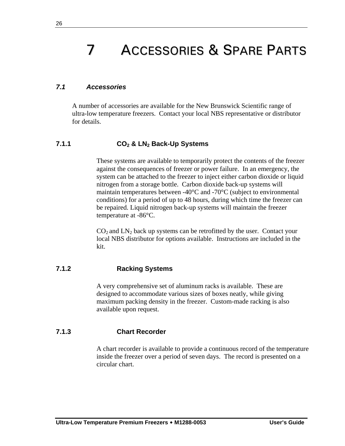# 7 ACCESSORIES & SPARE PARTS

#### *7.1 Accessories*

A number of accessories are available for the New Brunswick Scientific range of ultra-low temperature freezers. Contact your local NBS representative or distributor for details.

#### **7.1.1 CO2 & LN2 Back-Up Systems**

These systems are available to temporarily protect the contents of the freezer against the consequences of freezer or power failure. In an emergency, the system can be attached to the freezer to inject either carbon dioxide or liquid nitrogen from a storage bottle. Carbon dioxide back-up systems will maintain temperatures between -40°C and -70°C (subject to environmental conditions) for a period of up to 48 hours, during which time the freezer can be repaired. Liquid nitrogen back-up systems will maintain the freezer temperature at -86°C.

 $CO<sub>2</sub>$  and  $LN<sub>2</sub>$  back up systems can be retrofitted by the user. Contact your local NBS distributor for options available. Instructions are included in the kit.

#### **7.1.2 Racking Systems**

A very comprehensive set of aluminum racks is available. These are designed to accommodate various sizes of boxes neatly, while giving maximum packing density in the freezer. Custom-made racking is also available upon request.

#### **7.1.3 Chart Recorder**

A chart recorder is available to provide a continuous record of the temperature inside the freezer over a period of seven days. The record is presented on a circular chart.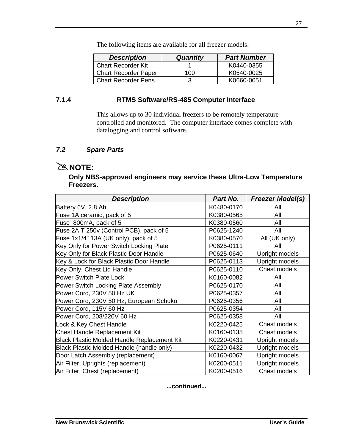The following items are available for all freezer models:

| <b>Description</b>          | <b>Quantity</b> | <b>Part Number</b> |
|-----------------------------|-----------------|--------------------|
| <b>Chart Recorder Kit</b>   |                 | K0440-0355         |
| <b>Chart Recorder Paper</b> | 100             | K0540-0025         |
| <b>Chart Recorder Pens</b>  |                 | K0660-0051         |

#### **7.1.4 RTMS Software/RS-485 Computer Interface**

This allows up to 30 individual freezers to be remotely temperaturecontrolled and monitored. The computer interface comes complete with datalogging and control software.

### *7.2 Spare Parts*

## $\cong$  **NOTE:**

#### **Only NBS-approved engineers may service these Ultra-Low Temperature Freezers.**

| <b>Description</b>                                 | Part No.   | <b>Freezer Model(s)</b> |
|----------------------------------------------------|------------|-------------------------|
| Battery 6V, 2.8 Ah                                 | K0480-0170 | All                     |
| Fuse 1A ceramic, pack of 5                         | K0380-0565 | All                     |
| Fuse 800mA, pack of 5                              | K0380-0560 | All                     |
| Fuse 2A T 250v (Control PCB), pack of 5            | P0625-1240 | All                     |
| Fuse 1x1/4" 13A (UK only), pack of 5               | K0380-0570 | All (UK only)           |
| Key Only for Power Switch Locking Plate            | P0625-0111 | All                     |
| Key Only for Black Plastic Door Handle             | P0625-0640 | Upright models          |
| Key & Lock for Black Plastic Door Handle           | P0625-0113 | Upright models          |
| Key Only, Chest Lid Handle                         | P0625-0110 | Chest models            |
| <b>Power Switch Plate Lock</b>                     | K0160-0082 | All                     |
| Power Switch Locking Plate Assembly                | P0625-0170 | All                     |
| Power Cord, 230V 50 Hz UK                          | P0625-0357 | All                     |
| Power Cord, 230V 50 Hz, European Schuko            | P0625-0356 | All                     |
| Power Cord, 115V 60 Hz                             | P0625-0354 | All                     |
| Power Cord, 208/220V 60 Hz                         | P0625-0358 | All                     |
| Lock & Key Chest Handle                            | K0220-0425 | Chest models            |
| <b>Chest Handle Replacement Kit</b>                | K0160-0135 | <b>Chest models</b>     |
| <b>Black Plastic Molded Handle Replacement Kit</b> | K0220-0431 | Upright models          |
| Black Plastic Molded Handle (handle only)          | K0220-0432 | Upright models          |
| Door Latch Assembly (replacement)                  | K0160-0067 | Upright models          |
| Air Filter, Uprights (replacement)                 | K0200-0511 | Upright models          |
| Air Filter, Chest (replacement)                    | K0200-0516 | Chest models            |

#### **...continued...**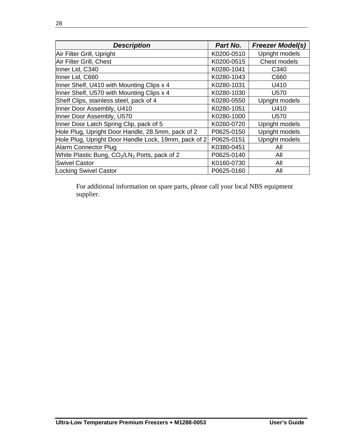| <b>Description</b>                                   | Part No.   | <b>Freezer Model(s)</b> |
|------------------------------------------------------|------------|-------------------------|
| Air Filter Grill, Upright                            | K0200-0510 | Upright models          |
| Air Filter Grill, Chest                              | K0200-0515 | Chest models            |
| Inner Lid, C340                                      | K0280-1041 | C340                    |
| Inner Lid, C660                                      | K0280-1043 | C660                    |
| Inner Shelf, U410 with Mounting Clips x 4            | K0280-1031 | U410                    |
| Inner Shelf, U570 with Mounting Clips x 4            | K0280-1030 | U570                    |
| Shelf Clips, stainless steel, pack of 4              | K0280-0550 | Upright models          |
| Inner Door Assembly, U410                            | K0280-1051 | U410                    |
| Inner Door Assembly, U570                            | K0280-1000 | U570                    |
| Inner Door Latch Spring Clip, pack of 5              | K0260-0720 | Upright models          |
| Hole Plug, Upright Door Handle, 28.5mm, pack of 2    | P0625-0150 | Upright models          |
| Hole Plug, Upright Door Handle Lock, 19mm, pack of 2 | P0625-0151 | Upright models          |
| Alarm Connector Plug                                 | K0380-0451 | All                     |
| White Plastic Bung, $CO2/CN2$ Ports, pack of 2       | P0625-0140 | All                     |
| <b>Swivel Castor</b>                                 | K0160-0730 | All                     |
| <b>Locking Swivel Castor</b>                         | P0625-0160 | All                     |

For additional information on spare parts, please call your local NBS equipment supplier.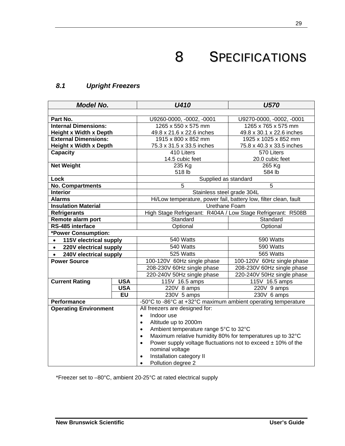# 8 SPECIFICATIONS

## *8.1 Upright Freezers*

| <b>Model No.</b>                    |            | <b>U410</b>                                                                   | <b>U570</b>                |  |
|-------------------------------------|------------|-------------------------------------------------------------------------------|----------------------------|--|
|                                     |            |                                                                               |                            |  |
| Part No.                            |            | U9260-0000, -0002, -0001                                                      | U9270-0000, -0002, -0001   |  |
| <b>Internal Dimensions:</b>         |            | 1265 x 550 x 575 mm                                                           | 1265 x 765 x 575 mm        |  |
| <b>Height x Width x Depth</b>       |            | 49.8 x 21.6 x 22.6 inches                                                     | 49.8 x 30.1 x 22.6 inches  |  |
| <b>External Dimensions:</b>         |            | 1915 x 800 x 852 mm                                                           | 1925 x 1025 x 852 mm       |  |
| <b>Height x Width x Depth</b>       |            | 75.3 x 31.5 x 33.5 inches                                                     | 75.8 x 40.3 x 33.5 inches  |  |
| <b>Capacity</b>                     |            | 410 Liters                                                                    | 570 Liters                 |  |
|                                     |            | 14.5 cubic feet                                                               | 20.0 cubic feet            |  |
| <b>Net Weight</b>                   |            | 235 Kg                                                                        | 265 Kg                     |  |
|                                     |            | 518 lb                                                                        | 584 lb                     |  |
| Lock                                |            | Supplied as standard                                                          |                            |  |
| <b>No. Compartments</b>             |            | 5                                                                             | 5                          |  |
| <b>Interior</b>                     |            | Stainless steel grade 304L                                                    |                            |  |
| <b>Alarms</b>                       |            | Hi/Low temperature, power fail, battery low, filter clean, fault              |                            |  |
| <b>Insulation Material</b>          |            | Urethane Foam                                                                 |                            |  |
| <b>Refrigerants</b>                 |            | High Stage Refrigerant: R404A / Low Stage Refrigerant: R508B                  |                            |  |
| Remote alarm port                   |            | Standard                                                                      | Standard                   |  |
| RS-485 interface                    |            | Optional<br>Optional                                                          |                            |  |
| *Power Consumption:                 |            |                                                                               |                            |  |
| 115V electrical supply<br>$\bullet$ |            | 540 Watts                                                                     | 590 Watts                  |  |
| 220V electrical supply<br>$\bullet$ |            | 540 Watts                                                                     | 590 Watts                  |  |
| 240V electrical supply<br>$\bullet$ |            | 525 Watts                                                                     | 565 Watts                  |  |
| <b>Power Source</b>                 |            | 100-120V 60Hz single phase                                                    | 100-120V 60Hz single phase |  |
|                                     |            | 208-230V 60Hz single phase                                                    | 208-230V 60Hz single phase |  |
|                                     |            | 220-240V 50Hz single phase                                                    | 220-240V 50Hz single phase |  |
| <b>Current Rating</b>               | <b>USA</b> | 115V 16.5 amps                                                                | 115V 16.5 amps             |  |
|                                     | <b>USA</b> | 220V 8 amps                                                                   | 220V 9 amps                |  |
|                                     | <b>EU</b>  | $230V$ 5 amps                                                                 | $230V$ 6 amps              |  |
| <b>Performance</b>                  |            | -50°C to -86°C at +32°C maximum ambient operating temperature                 |                            |  |
| <b>Operating Environment</b>        |            | All freezers are designed for:                                                |                            |  |
|                                     |            | Indoor use<br>$\bullet$                                                       |                            |  |
|                                     |            | Altitude up to 2000m<br>$\bullet$                                             |                            |  |
|                                     |            | Ambient temperature range 5°C to 32°C<br>$\bullet$                            |                            |  |
|                                     |            | Maximum relative humidity 80% for temperatures up to 32°C<br>$\bullet$        |                            |  |
|                                     |            | Power supply voltage fluctuations not to exceed $\pm$ 10% of the<br>$\bullet$ |                            |  |
|                                     |            | nominal voltage                                                               |                            |  |
|                                     |            | Installation category II<br>$\bullet$                                         |                            |  |
|                                     |            | Pollution degree 2<br>$\bullet$                                               |                            |  |

\*Freezer set to –80°C, ambient 20-25°C at rated electrical supply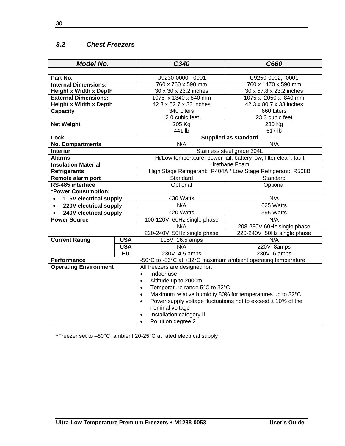## *8.2 Chest Freezers*

| <b>Model No.</b>                    |            | C340                                                                          | C660                       |  |
|-------------------------------------|------------|-------------------------------------------------------------------------------|----------------------------|--|
|                                     |            |                                                                               |                            |  |
| Part No.                            |            | U9230-0000, -0001                                                             | U9250-0002, -0001          |  |
| <b>Internal Dimensions:</b>         |            | 760 x 760 x 590 mm                                                            | 760 x 1470 x 590 mm        |  |
| <b>Height x Width x Depth</b>       |            | 30 x 30 x 23.2 inches                                                         | 30 x 57.8 x 23.2 inches    |  |
| <b>External Dimensions:</b>         |            | 1075 x 1340 x 840 mm                                                          | 1075 x 2050 x 840 mm       |  |
| <b>Height x Width x Depth</b>       |            | 42.3 x 52.7 x 33 inches                                                       | 42.3 x 80.7 x 33 inches    |  |
| <b>Capacity</b>                     |            | 340 Liters                                                                    | 660 Liters                 |  |
|                                     |            | 12.0 cubic feet.                                                              | 23.3 cubic feet            |  |
| <b>Net Weight</b>                   |            | 205 Kg                                                                        | 280 Kg                     |  |
|                                     |            | 441 lb                                                                        | 617 lb                     |  |
| Lock                                |            | <b>Supplied as standard</b>                                                   |                            |  |
| <b>No. Compartments</b>             |            | N/A                                                                           | N/A                        |  |
| <b>Interior</b>                     |            | Stainless steel grade 304L                                                    |                            |  |
| <b>Alarms</b>                       |            | Hi/Low temperature, power fail, battery low, filter clean, fault              |                            |  |
| <b>Insulation Material</b>          |            | Urethane Foam                                                                 |                            |  |
| <b>Refrigerants</b>                 |            | High Stage Refrigerant: R404A / Low Stage Refrigerant: R508B                  |                            |  |
| Remote alarm port                   |            | Standard<br>Standard                                                          |                            |  |
| RS-485 interface                    |            | Optional<br>Optional                                                          |                            |  |
| *Power Consumption:                 |            |                                                                               |                            |  |
| 115V electrical supply<br>$\bullet$ |            | 430 Watts                                                                     | N/A                        |  |
| 220V electrical supply<br>$\bullet$ |            | N/A                                                                           | 625 Watts                  |  |
| 240V electrical supply<br>$\bullet$ |            | 420 Watts                                                                     | 595 Watts                  |  |
| <b>Power Source</b>                 |            | 100-120V 60Hz single phase                                                    | N/A                        |  |
|                                     |            | N/A                                                                           | 208-230V 60Hz single phase |  |
|                                     |            | 220-240V 50Hz single phase                                                    | 220-240V 50Hz single phase |  |
| <b>Current Rating</b>               | <b>USA</b> | 115V 16.5 amps                                                                | N/A                        |  |
|                                     | <b>USA</b> | N/A                                                                           | 220V 8amps                 |  |
|                                     | <b>EU</b>  | 230V 4.5 amps                                                                 | 230V 6 amps                |  |
| <b>Performance</b>                  |            | -50°C to -86°C at +32°C maximum ambient operating temperature                 |                            |  |
| <b>Operating Environment</b>        |            | All freezers are designed for:                                                |                            |  |
|                                     |            | Indoor use<br>$\bullet$                                                       |                            |  |
|                                     |            | Altitude up to 2000m<br>$\bullet$                                             |                            |  |
|                                     |            | Temperature range 5°C to 32°C<br>$\bullet$                                    |                            |  |
|                                     |            | Maximum relative humidity 80% for temperatures up to 32°C<br>$\bullet$        |                            |  |
|                                     |            | Power supply voltage fluctuations not to exceed $\pm$ 10% of the<br>$\bullet$ |                            |  |
|                                     |            | nominal voltage                                                               |                            |  |
|                                     |            | Installation category II<br>$\bullet$                                         |                            |  |
|                                     |            | Pollution degree 2<br>$\bullet$                                               |                            |  |

\*Freezer set to –80°C, ambient 20-25°C at rated electrical supply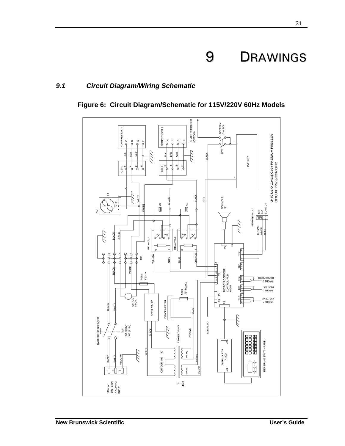# 9 DRAWINGS

### *9.1 Circuit Diagram/Wiring Schematic*



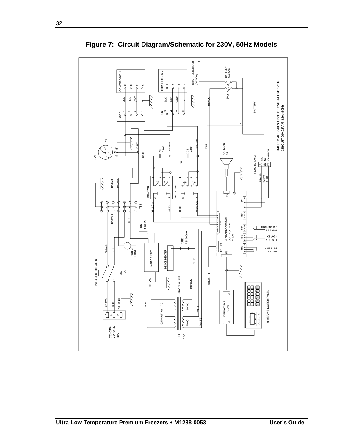

**Figure 7: Circuit Diagram/Schematic for 230V, 50Hz Models**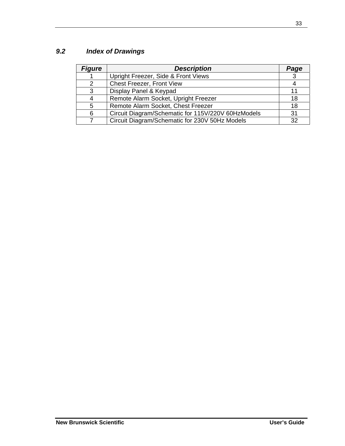# *9.2 Index of Drawings*

| <b>Figure</b> | <b>Description</b>                                 | Page |
|---------------|----------------------------------------------------|------|
|               | Upright Freezer, Side & Front Views                | 3    |
| 2             | Chest Freezer, Front View                          |      |
| 3             | Display Panel & Keypad                             |      |
| 4             | Remote Alarm Socket, Upright Freezer               | 18   |
| 5             | Remote Alarm Socket, Chest Freezer                 | 18   |
| 6             | Circuit Diagram/Schematic for 115V/220V 60HzModels | 31   |
| 7             | Circuit Diagram/Schematic for 230V 50Hz Models     | 32   |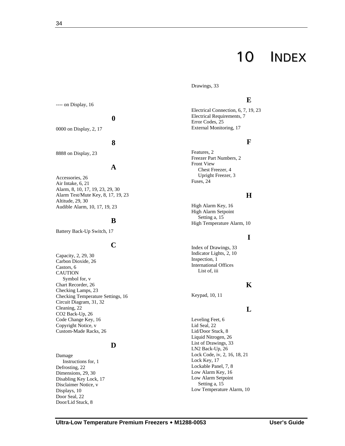Drawings, 33

## **E**

Electrical Connection, 6, 7, 19, 23 Electrical Requirements, 7 Error Codes, 25 External Monitoring, 17

#### **F**

Features, 2 Freezer Part Numbers, 2 Front View Chest Freezer, 4 Upright Freezer, 3 Fuses, 24

#### **H**

High Alarm Key, 16 High Alarm Setpoint Setting a, 15 High Temperature Alarm, 10

#### **I**

Index of Drawings, 33 Indicator Lights, 2, 10 Inspection, 1 International Offices List of, iii

#### **K**

Keypad, 10, 11

#### **L**

Leveling Feet, 6 Lid Seal, 22 Lid/Door Stuck, 8 Liquid Nitrogen, 26 List of Drawings, 33 LN2 Back-Up, 26 Lock Code, iv, 2, 16, 18, 21 Lock Key, 17 Lockable Panel, 7, 8 Low Alarm Key, 16 Low Alarm Setpoint Setting a, 15 Low Temperature Alarm, 10

---- on Display, 16

#### **0**

0000 on Display, 2, 17

#### **8**

8888 on Display, 23

#### **A**

Accessories, 26 Air Intake, 6, 21 Alarm, 8, 10, 17, 19, 23, 29, 30 Alarm Test/Mute Key, 8, 17, 19, 23 Altitude, 29, 30 Audible Alarm, 10, 17, 19, 23

#### **B**

Battery Back-Up Switch, 17

### **C**

Capacity, 2, 29, 30 Carbon Dioxide, 26 Castors, 6 CAUTION Symbol for, v Chart Recorder, 26 Checking Lamps, 23 Checking Temperature Settings, 16 Circuit Diagram, 31, 32 Cleaning, 22 CO2 Back-Up, 26 Code Change Key, 16 Copyright Notice, v Custom-Made Racks, 26

#### **D**

Damage Instructions for, 1 Defrosting, 22 Dimensions, 29, 30 Disabling Key Lock, 17 Disclaimer Notice, v Displays, 10 Door Seal, 22 Door/Lid Stuck, 8